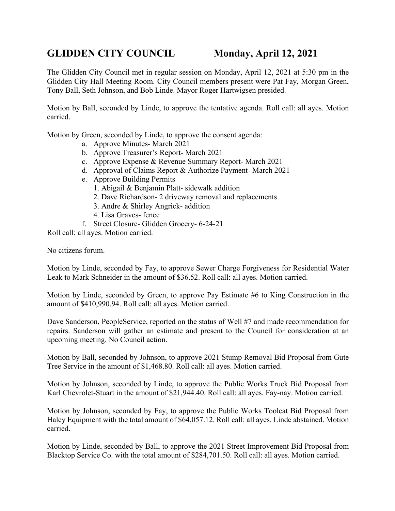## **GLIDDEN CITY COUNCIL Monday, April 12, 2021**

The Glidden City Council met in regular session on Monday, April 12, 2021 at 5:30 pm in the Glidden City Hall Meeting Room. City Council members present were Pat Fay, Morgan Green, Tony Ball, Seth Johnson, and Bob Linde. Mayor Roger Hartwigsen presided.

Motion by Ball, seconded by Linde, to approve the tentative agenda. Roll call: all ayes. Motion carried.

Motion by Green, seconded by Linde, to approve the consent agenda:

- a. Approve Minutes- March 2021
- b. Approve Treasurer's Report- March 2021
- c. Approve Expense & Revenue Summary Report- March 2021
- d. Approval of Claims Report & Authorize Payment- March 2021
- e. Approve Building Permits
	- 1. Abigail & Benjamin Platt- sidewalk addition
	- 2. Dave Richardson- 2 driveway removal and replacements
	- 3. Andre & Shirley Angrick- addition
	- 4. Lisa Graves- fence
- f. Street Closure- Glidden Grocery- 6-24-21

Roll call: all ayes. Motion carried.

No citizens forum.

Motion by Linde, seconded by Fay, to approve Sewer Charge Forgiveness for Residential Water Leak to Mark Schneider in the amount of \$36.52. Roll call: all ayes. Motion carried.

Motion by Linde, seconded by Green, to approve Pay Estimate #6 to King Construction in the amount of \$410,990.94. Roll call: all ayes. Motion carried.

Dave Sanderson, PeopleService, reported on the status of Well #7 and made recommendation for repairs. Sanderson will gather an estimate and present to the Council for consideration at an upcoming meeting. No Council action.

Motion by Ball, seconded by Johnson, to approve 2021 Stump Removal Bid Proposal from Gute Tree Service in the amount of \$1,468.80. Roll call: all ayes. Motion carried.

Motion by Johnson, seconded by Linde, to approve the Public Works Truck Bid Proposal from Karl Chevrolet-Stuart in the amount of \$21,944.40. Roll call: all ayes. Fay-nay. Motion carried.

Motion by Johnson, seconded by Fay, to approve the Public Works Toolcat Bid Proposal from Haley Equipment with the total amount of \$64,057.12. Roll call: all ayes. Linde abstained. Motion carried.

Motion by Linde, seconded by Ball, to approve the 2021 Street Improvement Bid Proposal from Blacktop Service Co. with the total amount of \$284,701.50. Roll call: all ayes. Motion carried.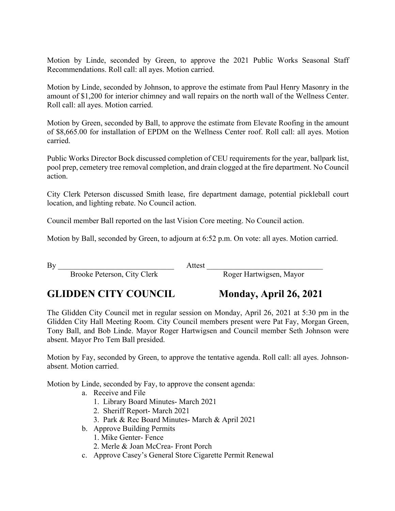Motion by Linde, seconded by Green, to approve the 2021 Public Works Seasonal Staff Recommendations. Roll call: all ayes. Motion carried.

Motion by Linde, seconded by Johnson, to approve the estimate from Paul Henry Masonry in the amount of \$1,200 for interior chimney and wall repairs on the north wall of the Wellness Center. Roll call: all ayes. Motion carried.

Motion by Green, seconded by Ball, to approve the estimate from Elevate Roofing in the amount of \$8,665.00 for installation of EPDM on the Wellness Center roof. Roll call: all ayes. Motion carried.

Public Works Director Bock discussed completion of CEU requirements for the year, ballpark list, pool prep, cemetery tree removal completion, and drain clogged at the fire department. No Council action.

City Clerk Peterson discussed Smith lease, fire department damage, potential pickleball court location, and lighting rebate. No Council action.

Council member Ball reported on the last Vision Core meeting. No Council action.

Motion by Ball, seconded by Green, to adjourn at 6:52 p.m. On vote: all ayes. Motion carried.

By Attest  $\overline{B}$ 

Brooke Peterson, City Clerk Roger Hartwigsen, Mayor

## **GLIDDEN CITY COUNCIL Monday, April 26, 2021**

The Glidden City Council met in regular session on Monday, April 26, 2021 at 5:30 pm in the Glidden City Hall Meeting Room. City Council members present were Pat Fay, Morgan Green, Tony Ball, and Bob Linde. Mayor Roger Hartwigsen and Council member Seth Johnson were absent. Mayor Pro Tem Ball presided.

Motion by Fay, seconded by Green, to approve the tentative agenda. Roll call: all ayes. Johnsonabsent. Motion carried.

Motion by Linde, seconded by Fay, to approve the consent agenda:

- a. Receive and File
	- 1. Library Board Minutes- March 2021
	- 2. Sheriff Report- March 2021
	- 3. Park & Rec Board Minutes- March & April 2021
- b. Approve Building Permits
	- 1. Mike Genter- Fence
	- 2. Merle & Joan McCrea- Front Porch
- c. Approve Casey's General Store Cigarette Permit Renewal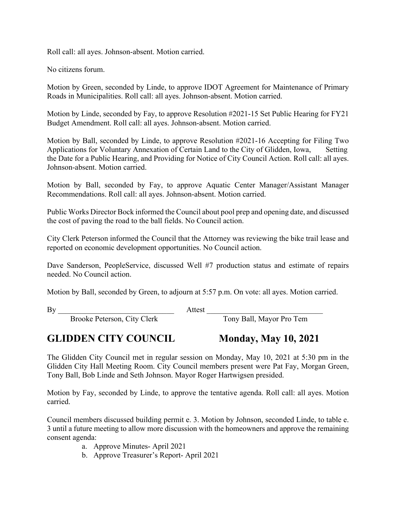Roll call: all ayes. Johnson-absent. Motion carried.

No citizens forum.

Motion by Green, seconded by Linde, to approve IDOT Agreement for Maintenance of Primary Roads in Municipalities. Roll call: all ayes. Johnson-absent. Motion carried.

Motion by Linde, seconded by Fay, to approve Resolution #2021-15 Set Public Hearing for FY21 Budget Amendment. Roll call: all ayes. Johnson-absent. Motion carried.

Motion by Ball, seconded by Linde, to approve Resolution #2021-16 Accepting for Filing Two Applications for Voluntary Annexation of Certain Land to the City of Glidden, Iowa, Setting the Date for a Public Hearing, and Providing for Notice of City Council Action. Roll call: all ayes. Johnson-absent. Motion carried.

Motion by Ball, seconded by Fay, to approve Aquatic Center Manager/Assistant Manager Recommendations. Roll call: all ayes. Johnson-absent. Motion carried.

Public Works Director Bock informed the Council about pool prep and opening date, and discussed the cost of paving the road to the ball fields. No Council action.

City Clerk Peterson informed the Council that the Attorney was reviewing the bike trail lease and reported on economic development opportunities. No Council action.

Dave Sanderson, PeopleService, discussed Well #7 production status and estimate of repairs needed. No Council action.

Motion by Ball, seconded by Green, to adjourn at 5:57 p.m. On vote: all ayes. Motion carried.

By Attest  $\overline{B}$ 

Brooke Peterson, City Clerk Tony Ball, Mayor Pro Tem

### **GLIDDEN CITY COUNCIL Monday, May 10, 2021**

The Glidden City Council met in regular session on Monday, May 10, 2021 at 5:30 pm in the Glidden City Hall Meeting Room. City Council members present were Pat Fay, Morgan Green,

Motion by Fay, seconded by Linde, to approve the tentative agenda. Roll call: all ayes. Motion carried.

Council members discussed building permit e. 3. Motion by Johnson, seconded Linde, to table e. 3 until a future meeting to allow more discussion with the homeowners and approve the remaining consent agenda:

- a. Approve Minutes- April 2021
- b. Approve Treasurer's Report- April 2021

Tony Ball, Bob Linde and Seth Johnson. Mayor Roger Hartwigsen presided.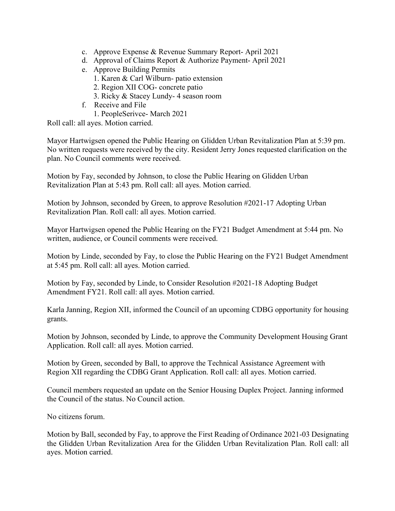- c. Approve Expense & Revenue Summary Report- April 2021
- d. Approval of Claims Report & Authorize Payment- April 2021
- e. Approve Building Permits
	- 1. Karen & Carl Wilburn- patio extension
	- 2. Region XII COG- concrete patio
	- 3. Ricky & Stacey Lundy- 4 season room
- f. Receive and File

1. PeopleSerivce- March 2021

Roll call: all ayes. Motion carried.

Mayor Hartwigsen opened the Public Hearing on Glidden Urban Revitalization Plan at 5:39 pm. No written requests were received by the city. Resident Jerry Jones requested clarification on the plan. No Council comments were received.

Motion by Fay, seconded by Johnson, to close the Public Hearing on Glidden Urban Revitalization Plan at 5:43 pm. Roll call: all ayes. Motion carried.

Motion by Johnson, seconded by Green, to approve Resolution #2021-17 Adopting Urban Revitalization Plan. Roll call: all ayes. Motion carried.

Mayor Hartwigsen opened the Public Hearing on the FY21 Budget Amendment at 5:44 pm. No written, audience, or Council comments were received.

Motion by Linde, seconded by Fay, to close the Public Hearing on the FY21 Budget Amendment at 5:45 pm. Roll call: all ayes. Motion carried.

Motion by Fay, seconded by Linde, to Consider Resolution #2021-18 Adopting Budget Amendment FY21. Roll call: all ayes. Motion carried.

Karla Janning, Region XII, informed the Council of an upcoming CDBG opportunity for housing grants.

Motion by Johnson, seconded by Linde, to approve the Community Development Housing Grant Application. Roll call: all ayes. Motion carried.

Motion by Green, seconded by Ball, to approve the Technical Assistance Agreement with Region XII regarding the CDBG Grant Application. Roll call: all ayes. Motion carried.

Council members requested an update on the Senior Housing Duplex Project. Janning informed the Council of the status. No Council action.

No citizens forum.

Motion by Ball, seconded by Fay, to approve the First Reading of Ordinance 2021-03 Designating the Glidden Urban Revitalization Area for the Glidden Urban Revitalization Plan. Roll call: all ayes. Motion carried.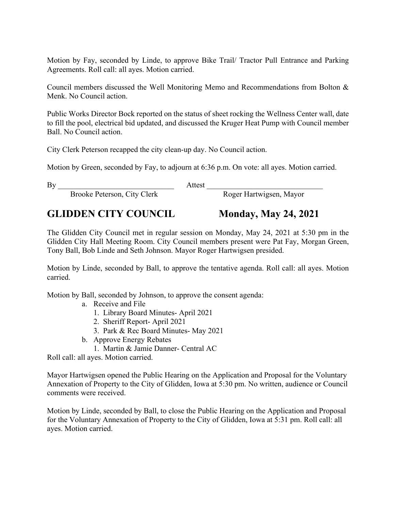Motion by Fay, seconded by Linde, to approve Bike Trail/ Tractor Pull Entrance and Parking Agreements. Roll call: all ayes. Motion carried.

Council members discussed the Well Monitoring Memo and Recommendations from Bolton & Menk. No Council action.

Public Works Director Bock reported on the status of sheet rocking the Wellness Center wall, date to fill the pool, electrical bid updated, and discussed the Kruger Heat Pump with Council member Ball. No Council action.

City Clerk Peterson recapped the city clean-up day. No Council action.

Motion by Green, seconded by Fay, to adjourn at 6:36 p.m. On vote: all ayes. Motion carried.

By Attest  $\overline{a}$ 

Brooke Peterson, City Clerk Roger Hartwigsen, Mayor

# **GLIDDEN CITY COUNCIL Monday, May 24, 2021**

The Glidden City Council met in regular session on Monday, May 24, 2021 at 5:30 pm in the Glidden City Hall Meeting Room. City Council members present were Pat Fay, Morgan Green, Tony Ball, Bob Linde and Seth Johnson. Mayor Roger Hartwigsen presided.

Motion by Linde, seconded by Ball, to approve the tentative agenda. Roll call: all ayes. Motion carried.

Motion by Ball, seconded by Johnson, to approve the consent agenda:

- a. Receive and File
	- 1. Library Board Minutes- April 2021
	- 2. Sheriff Report- April 2021
	- 3. Park & Rec Board Minutes- May 2021
- b. Approve Energy Rebates
	- 1. Martin & Jamie Danner- Central AC

Roll call: all ayes. Motion carried.

Mayor Hartwigsen opened the Public Hearing on the Application and Proposal for the Voluntary Annexation of Property to the City of Glidden, Iowa at 5:30 pm. No written, audience or Council comments were received.

Motion by Linde, seconded by Ball, to close the Public Hearing on the Application and Proposal for the Voluntary Annexation of Property to the City of Glidden, Iowa at 5:31 pm. Roll call: all ayes. Motion carried.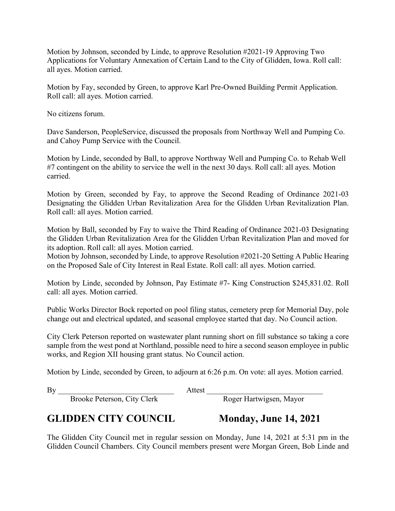Motion by Johnson, seconded by Linde, to approve Resolution #2021-19 Approving Two Applications for Voluntary Annexation of Certain Land to the City of Glidden, Iowa. Roll call: all ayes. Motion carried.

Motion by Fay, seconded by Green, to approve Karl Pre-Owned Building Permit Application. Roll call: all ayes. Motion carried.

No citizens forum.

Dave Sanderson, PeopleService, discussed the proposals from Northway Well and Pumping Co. and Cahoy Pump Service with the Council.

Motion by Linde, seconded by Ball, to approve Northway Well and Pumping Co. to Rehab Well #7 contingent on the ability to service the well in the next 30 days. Roll call: all ayes. Motion carried.

Motion by Green, seconded by Fay, to approve the Second Reading of Ordinance 2021-03 Designating the Glidden Urban Revitalization Area for the Glidden Urban Revitalization Plan. Roll call: all ayes. Motion carried.

Motion by Ball, seconded by Fay to waive the Third Reading of Ordinance 2021-03 Designating the Glidden Urban Revitalization Area for the Glidden Urban Revitalization Plan and moved for its adoption. Roll call: all ayes. Motion carried.

Motion by Johnson, seconded by Linde, to approve Resolution #2021-20 Setting A Public Hearing on the Proposed Sale of City Interest in Real Estate. Roll call: all ayes. Motion carried.

Motion by Linde, seconded by Johnson, Pay Estimate #7- King Construction \$245,831.02. Roll call: all ayes. Motion carried.

Public Works Director Bock reported on pool filing status, cemetery prep for Memorial Day, pole change out and electrical updated, and seasonal employee started that day. No Council action.

City Clerk Peterson reported on wastewater plant running short on fill substance so taking a core sample from the west pond at Northland, possible need to hire a second season employee in public works, and Region XII housing grant status. No Council action.

Motion by Linde, seconded by Green, to adjourn at 6:26 p.m. On vote: all ayes. Motion carried.

By \_\_\_\_\_\_\_\_\_\_\_\_\_\_\_\_\_\_\_\_\_\_\_\_\_\_\_\_\_\_ Attest \_\_\_\_\_\_\_\_\_\_\_\_\_\_\_\_\_\_\_\_\_\_\_\_\_\_\_\_\_\_

### **GLIDDEN CITY COUNCIL Monday, June 14, 2021**

Brooke Peterson, City Clerk

The Glidden City Council met in regular session on Monday, June 14, 2021 at 5:31 pm in the Glidden Council Chambers. City Council members present were Morgan Green, Bob Linde and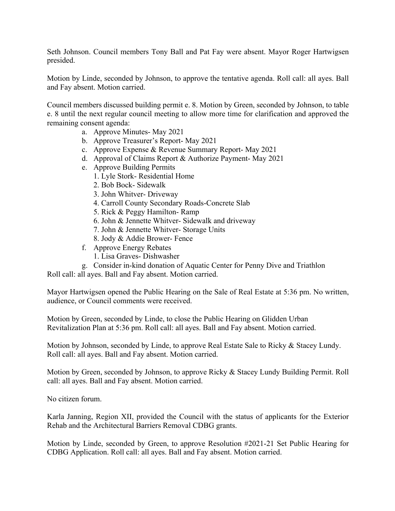Seth Johnson. Council members Tony Ball and Pat Fay were absent. Mayor Roger Hartwigsen presided.

Motion by Linde, seconded by Johnson, to approve the tentative agenda. Roll call: all ayes. Ball and Fay absent. Motion carried.

Council members discussed building permit e. 8. Motion by Green, seconded by Johnson, to table e. 8 until the next regular council meeting to allow more time for clarification and approved the remaining consent agenda:

- a. Approve Minutes- May 2021
- b. Approve Treasurer's Report- May 2021
- c. Approve Expense & Revenue Summary Report- May 2021
- d. Approval of Claims Report & Authorize Payment- May 2021
- e. Approve Building Permits
	- 1. Lyle Stork- Residential Home
	- 2. Bob Bock- Sidewalk
	- 3. John Whitver- Driveway
	- 4. Carroll County Secondary Roads-Concrete Slab
	- 5. Rick & Peggy Hamilton- Ramp
	- 6. John & Jennette Whitver- Sidewalk and driveway
	- 7. John & Jennette Whitver- Storage Units
	- 8. Jody & Addie Brower- Fence
- f. Approve Energy Rebates
	- 1. Lisa Graves- Dishwasher

g. Consider in-kind donation of Aquatic Center for Penny Dive and Triathlon

Roll call: all ayes. Ball and Fay absent. Motion carried.

Mayor Hartwigsen opened the Public Hearing on the Sale of Real Estate at 5:36 pm. No written, audience, or Council comments were received.

Motion by Green, seconded by Linde, to close the Public Hearing on Glidden Urban Revitalization Plan at 5:36 pm. Roll call: all ayes. Ball and Fay absent. Motion carried.

Motion by Johnson, seconded by Linde, to approve Real Estate Sale to Ricky & Stacey Lundy. Roll call: all ayes. Ball and Fay absent. Motion carried.

Motion by Green, seconded by Johnson, to approve Ricky & Stacey Lundy Building Permit. Roll call: all ayes. Ball and Fay absent. Motion carried.

No citizen forum.

Karla Janning, Region XII, provided the Council with the status of applicants for the Exterior Rehab and the Architectural Barriers Removal CDBG grants.

Motion by Linde, seconded by Green, to approve Resolution #2021-21 Set Public Hearing for CDBG Application. Roll call: all ayes. Ball and Fay absent. Motion carried.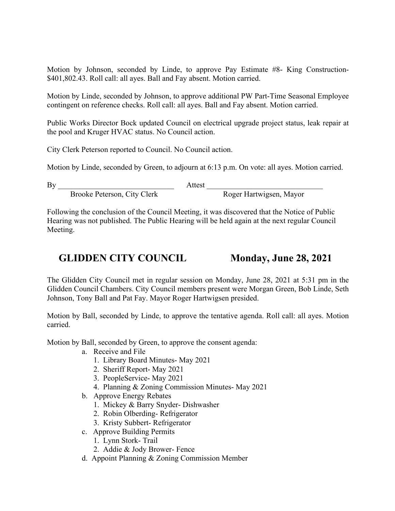Motion by Johnson, seconded by Linde, to approve Pay Estimate #8- King Construction- \$401,802.43. Roll call: all ayes. Ball and Fay absent. Motion carried.

Motion by Linde, seconded by Johnson, to approve additional PW Part-Time Seasonal Employee contingent on reference checks. Roll call: all ayes. Ball and Fay absent. Motion carried.

Public Works Director Bock updated Council on electrical upgrade project status, leak repair at the pool and Kruger HVAC status. No Council action.

City Clerk Peterson reported to Council. No Council action.

Motion by Linde, seconded by Green, to adjourn at 6:13 p.m. On vote: all ayes. Motion carried.

By Attest  $\overline{a}$ 

Brooke Peterson, City Clerk Roger Hartwigsen, Mayor

Following the conclusion of the Council Meeting, it was discovered that the Notice of Public Hearing was not published. The Public Hearing will be held again at the next regular Council Meeting.

### GLIDDEN CITY COUNCIL Monday, June 28, 2021

The Glidden City Council met in regular session on Monday, June 28, 2021 at 5:31 pm in the Glidden Council Chambers. City Council members present were Morgan Green, Bob Linde, Seth Johnson, Tony Ball and Pat Fay. Mayor Roger Hartwigsen presided.

Motion by Ball, seconded by Linde, to approve the tentative agenda. Roll call: all ayes. Motion carried.

Motion by Ball, seconded by Green, to approve the consent agenda:

- a. Receive and File
	- 1. Library Board Minutes- May 2021
	- 2. Sheriff Report- May 2021
	- 3. PeopleService- May 2021
	- 4. Planning & Zoning Commission Minutes- May 2021
- b. Approve Energy Rebates
	- 1. Mickey & Barry Snyder- Dishwasher
	- 2. Robin Olberding- Refrigerator
	- 3. Kristy Subbert- Refrigerator
- c. Approve Building Permits
	- 1. Lynn Stork- Trail
	- 2. Addie & Jody Brower- Fence
- d. Appoint Planning & Zoning Commission Member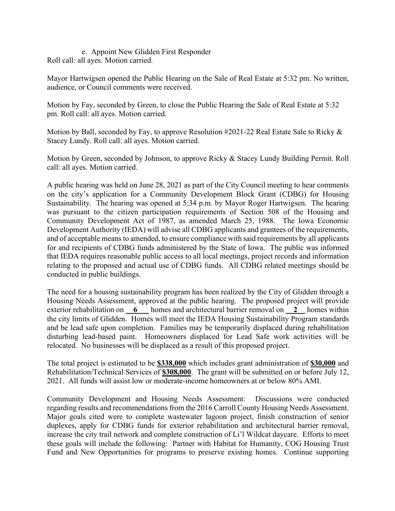e. Appoint New Glidden First Responder Roll call: all ayes. Motion carried.

Mayor Hartwigsen opened the Public Hearing on the Sale of Real Estate at 5:32 pm. No written, audience, or Council comments were received.

Motion by Fay, seconded by Green, to close the Public Hearing the Sale of Real Estate at 5:32 pm. Roll call: all ayes. Motion carried.

Motion by Ball, seconded by Fay, to approve Resolution #2021-22 Real Estate Sale to Ricky & Stacey Lundy. Roll call: all ayes. Motion carried.

Motion by Green, seconded by Johnson, to approve Ricky & Stacey Lundy Building Permit. Roll call: all ayes. Motion carried.

A public hearing was held on June 28, 2021 as part of the City Council meeting to hear comments on the city's application for a Community Development Block Grant (CDBG) for Housing Sustainability. The hearing was opened at 5:34 p.m. by Mayor Roger Hartwigsen. The hearing was pursuant to the citizen participation requirements of Section 508 of the Housing and Community Development Act of 1987, as amended March 25, 1988. The Iowa Economic Development Authority (IEDA) will advise all CDBG applicants and grantees of the requirements, and of acceptable means to amended, to ensure compliance with said requirements by all applicants for and recipients of CDBG funds administered by the State of Iowa. The public was informed that IEDA requires reasonable public access to all local meetings, project records and information relating to the proposed and actual use of CDBG funds. All CDBG related meetings should be conducted in public buildings.

The need for a housing sustainability program has been realized by the City of Glidden through a Housing Needs Assessment, approved at the public hearing. The proposed project will provide exterior rehabilitation on **\_\_6** homes and architectural barrier removal on **\_\_2** homes within the city limits of Glidden. Homes will meet the IEDA Housing Sustainability Program standards and be lead safe upon completion. Families may be temporarily displaced during rehabilitation disturbing lead-based paint. Homeowners displaced for Lead Safe work activities will be relocated. No businesses will be displaced as a result of this proposed project.

The total project is estimated to be **\$338,000** which includes grant administration of **\$30,000** and Rehabilitation/Technical Services of **\$308,000**. The grant will be submitted on or before July 12, 2021. All funds will assist low or moderate-income homeowners at or below 80% AMI.

Community Development and Housing Needs Assessment: Discussions were conducted regarding results and recommendations from the 2016 Carroll County Housing Needs Assessment. Major goals cited were to complete wastewater lagoon project, finish construction of senior duplexes, apply for CDBG funds for exterior rehabilitation and architectural barrier removal, increase the city trail network and complete construction of Li'l Wildcat daycare. Efforts to meet these goals will include the following: Partner with Habitat for Humanity, COG Housing Trust Fund and New Opportunities for programs to preserve existing homes. Continue supporting